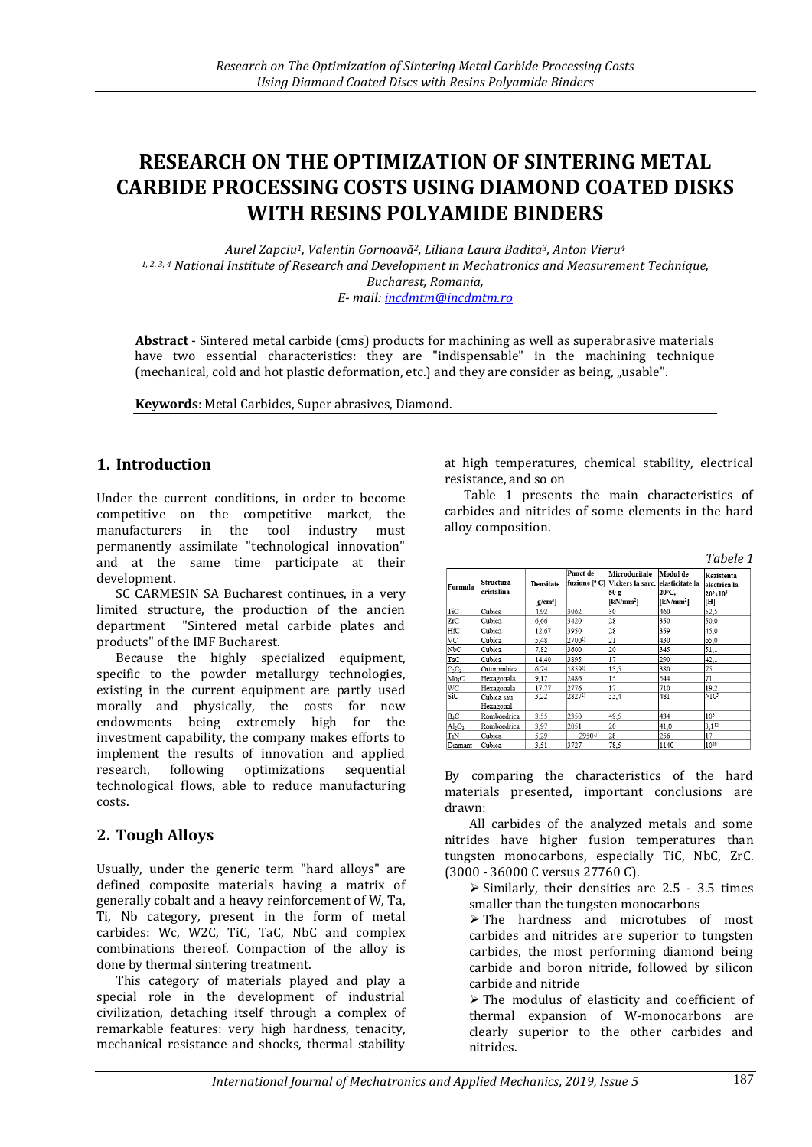# **RESEARCH ON THE OPTIMIZATION OF SINTERING METAL CARBIDE PROCESSING COSTS USING DIAMOND COATED DISKS WITH RESINS POLYAMIDE BINDERS**

*Aurel Zapciu1, Valentin Gornoavă2, Liliana Laura Badita3, Anton Vieru<sup>4</sup> 1, 2, 3, 4 National Institute of Research and Development in Mechatronics and Measurement Technique, Bucharest, Romania, E- mail: [incdmtm@incdmtm.ro](mailto:incdmtm@incdmtm.ro)*

**Abstract** - Sintered metal carbide (cms) products for machining as well as superabrasive materials have two essential characteristics: they are "indispensable" in the machining technique (mechanical, cold and hot plastic deformation, etc.) and they are consider as being, "usable".

**Keywords**: Metal Carbides, Super abrasives, Diamond.

## **1. Introduction**

Under the current conditions, in order to become competitive on the competitive market, the manufacturers in the tool industry must permanently assimilate "technological innovation" and at the same time participate at their development.

SC CARMESIN SA Bucharest continues, in a very limited structure, the production of the ancien department "Sintered metal carbide plates and products" of the IMF Bucharest.

Because the highly specialized equipment, specific to the powder metallurgy technologies, existing in the current equipment are partly used morally and physically, the costs for new endowments being extremely high for the investment capability, the company makes efforts to implement the results of innovation and applied research, following optimizations sequential technological flows, able to reduce manufacturing costs.

# **2. Tough Alloys**

Usually, under the generic term "hard alloys" are defined composite materials having a matrix of generally cobalt and a heavy reinforcement of W, Ta, Ti, Nb category, present in the form of metal carbides: Wc, W2C, TiC, TaC, NbC and complex combinations thereof. Compaction of the alloy is done by thermal sintering treatment.

This category of materials played and play a special role in the development of industrial civilization, detaching itself through a complex of remarkable features: very high hardness, tenacity, mechanical resistance and shocks, thermal stability

at high temperatures, chemical stability, electrical resistance, and so on

Table 1 presents the main characteristics of carbides and nitrides of some elements in the hard alloy composition.

*Tabele 1*

| Formula                     | <b>Structura</b><br>cristalina | Densitate<br>$[g/cm^3]$ | Punct de | Microduritate<br>fuziune [° C] Vickers la sarc. elasticitate la<br>50 g<br>$[kN/mm^2]$ | Modul de<br>20°C.<br>$[kN/mm^2]$ | Rezistenta<br>electrica la<br>$20^{\circ}x10^{\circ}$<br>[H] |
|-----------------------------|--------------------------------|-------------------------|----------|----------------------------------------------------------------------------------------|----------------------------------|--------------------------------------------------------------|
| TiC                         | Cubica                         | 4,92                    | 3062     | 30                                                                                     | 460                              | 52,5                                                         |
| ZrC                         | Cubica                         | 6,66                    | 3420     | 28                                                                                     | 350                              | 50,0                                                         |
| HfC                         | Cubica                         | 12.67                   | 3950     | 28                                                                                     | 359                              | 45.0                                                         |
| VC                          | Cubica                         | 5,48                    | 27002)   | 21                                                                                     | 430                              | 65,0                                                         |
| NbC                         | Cubica                         | 7,82                    | 3600     | 20                                                                                     | 345                              | 51,1                                                         |
| TaC                         | Cubica                         | 14.40                   | 3895     | 17                                                                                     | 290                              | 42,1                                                         |
| $C_1C_2$                    | Ortorombica                    | 6.74                    | 18592)   | 13,5                                                                                   | 380                              | 75                                                           |
| Mo <sub>3</sub> C           | Hexagonala                     | 9,17                    | 2486     | 15                                                                                     | 544                              | 71                                                           |
| WC                          | Hexagonala                     | 17.77                   | 2776     | 17                                                                                     | 710                              | 19,2                                                         |
| $\overline{\text{SiC}}$     | Cubica sau<br>Hexagonal        | 3,22                    | 28272    | 33.4                                                                                   | 481                              | $>10^{5}$                                                    |
| $B_4C$                      | Romboedrica                    | 3,55                    | 2350     | 49,5                                                                                   | 434                              | 10 <sup>6</sup>                                              |
| $\mathrm{Al}_2\mathrm{O}_3$ | Romboedrica                    | 3,97                    | 2051     | 20                                                                                     | 41.0                             | $3,1^{12}$                                                   |
| TiN                         | Cubica                         | 5,29                    | 29502    | 28                                                                                     | 256                              | 17                                                           |
| Diamant                     | Cubica                         | 3.51                    | 3727     | 78.5                                                                                   | 1140                             | 1020                                                         |

By comparing the characteristics of the hard materials presented, important conclusions are drawn:

All carbides of the analyzed metals and some nitrides have higher fusion temperatures than tungsten monocarbons, especially TiC, NbC, ZrC. (3000 - 36000 C versus 27760 C).

 $\ge$  Similarly, their densities are 2.5 - 3.5 times smaller than the tungsten monocarbons

 $\triangleright$  The hardness and microtubes of most carbides and nitrides are superior to tungsten carbides, the most performing diamond being carbide and boron nitride, followed by silicon carbide and nitride

 $\triangleright$  The modulus of elasticity and coefficient of thermal expansion of W-monocarbons are clearly superior to the other carbides and nitrides.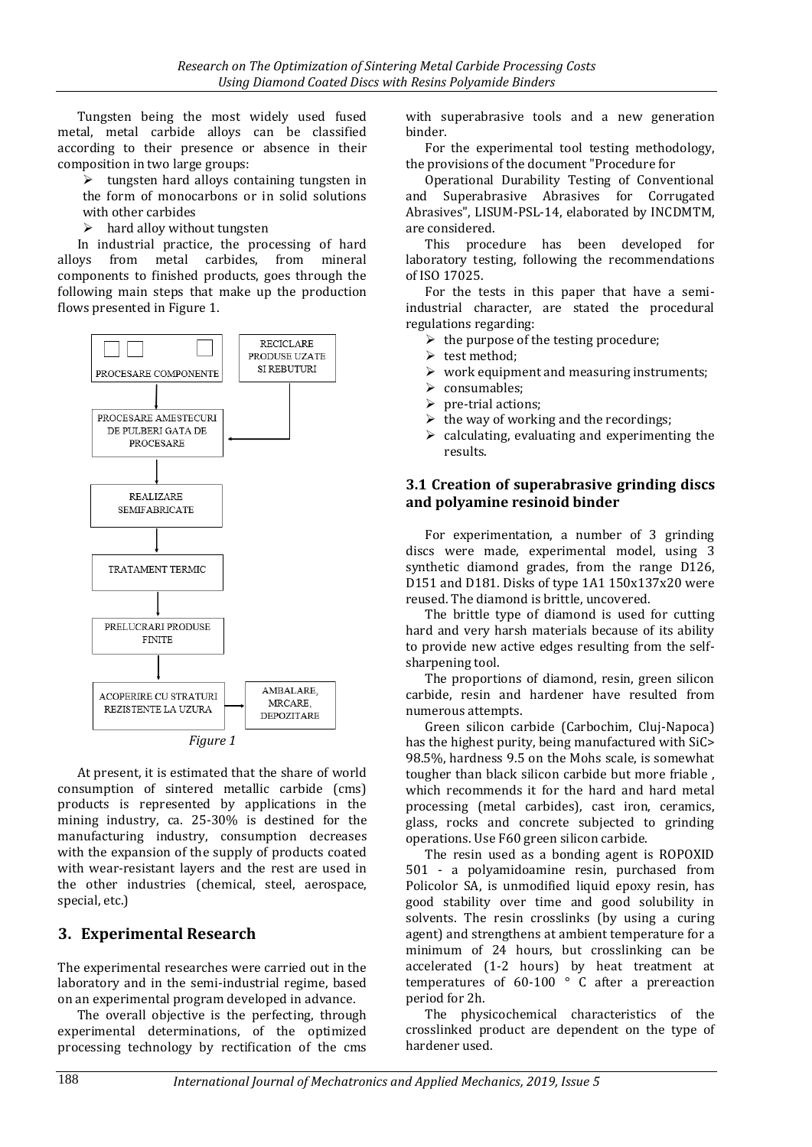Tungsten being the most widely used fused metal, metal carbide alloys can be classified according to their presence or absence in their composition in two large groups:

 $\triangleright$  tungsten hard alloys containing tungsten in the form of monocarbons or in solid solutions with other carbides

 $\triangleright$  hard alloy without tungsten

In industrial practice, the processing of hard alloys from metal carbides, from mineral components to finished products, goes through the following main steps that make up the production flows presented in Figure 1.



*Figure 1*

At present, it is estimated that the share of world consumption of sintered metallic carbide (cms) products is represented by applications in the mining industry, ca. 25-30% is destined for the manufacturing industry, consumption decreases with the expansion of the supply of products coated with wear-resistant layers and the rest are used in the other industries (chemical, steel, aerospace, special, etc.)

# **3. Experimental Research**

The experimental researches were carried out in the laboratory and in the semi-industrial regime, based on an experimental program developed in advance.

The overall objective is the perfecting, through experimental determinations, of the optimized processing technology by rectification of the cms

with superabrasive tools and a new generation binder.

For the experimental tool testing methodology, the provisions of the document "Procedure for

Operational Durability Testing of Conventional and Superabrasive Abrasives for Corrugated Abrasives", LISUM-PSL-14, elaborated by INCDMTM, are considered.

This procedure has been developed for laboratory testing, following the recommendations of ISO 17025.

For the tests in this paper that have a semiindustrial character, are stated the procedural regulations regarding:

- $\triangleright$  the purpose of the testing procedure:
- $\triangleright$  test method:
- $\triangleright$  work equipment and measuring instruments;
- > consumables;
- $\triangleright$  pre-trial actions;
- $\triangleright$  the way of working and the recordings;
- $\triangleright$  calculating, evaluating and experimenting the results.

### **3.1 Creation of superabrasive grinding discs and polyamine resinoid binder**

For experimentation, a number of 3 grinding discs were made, experimental model, using 3 synthetic diamond grades, from the range D126, D151 and D181. Disks of type 1A1 150x137x20 were reused. The diamond is brittle, uncovered.

The brittle type of diamond is used for cutting hard and very harsh materials because of its ability to provide new active edges resulting from the selfsharpening tool.

The proportions of diamond, resin, green silicon carbide, resin and hardener have resulted from numerous attempts.

Green silicon carbide (Carbochim, Cluj-Napoca) has the highest purity, being manufactured with SiC> 98.5%, hardness 9.5 on the Mohs scale, is somewhat tougher than black silicon carbide but more friable , which recommends it for the hard and hard metal processing (metal carbides), cast iron, ceramics, glass, rocks and concrete subjected to grinding operations. Use F60 green silicon carbide.

The resin used as a bonding agent is ROPOXID 501 - a polyamidoamine resin, purchased from Policolor SA, is unmodified liquid epoxy resin, has good stability over time and good solubility in solvents. The resin crosslinks (by using a curing agent) and strengthens at ambient temperature for a minimum of 24 hours, but crosslinking can be accelerated (1-2 hours) by heat treatment at temperatures of 60-100 ° C after a prereaction period for 2h.

The physicochemical characteristics of the crosslinked product are dependent on the type of hardener used.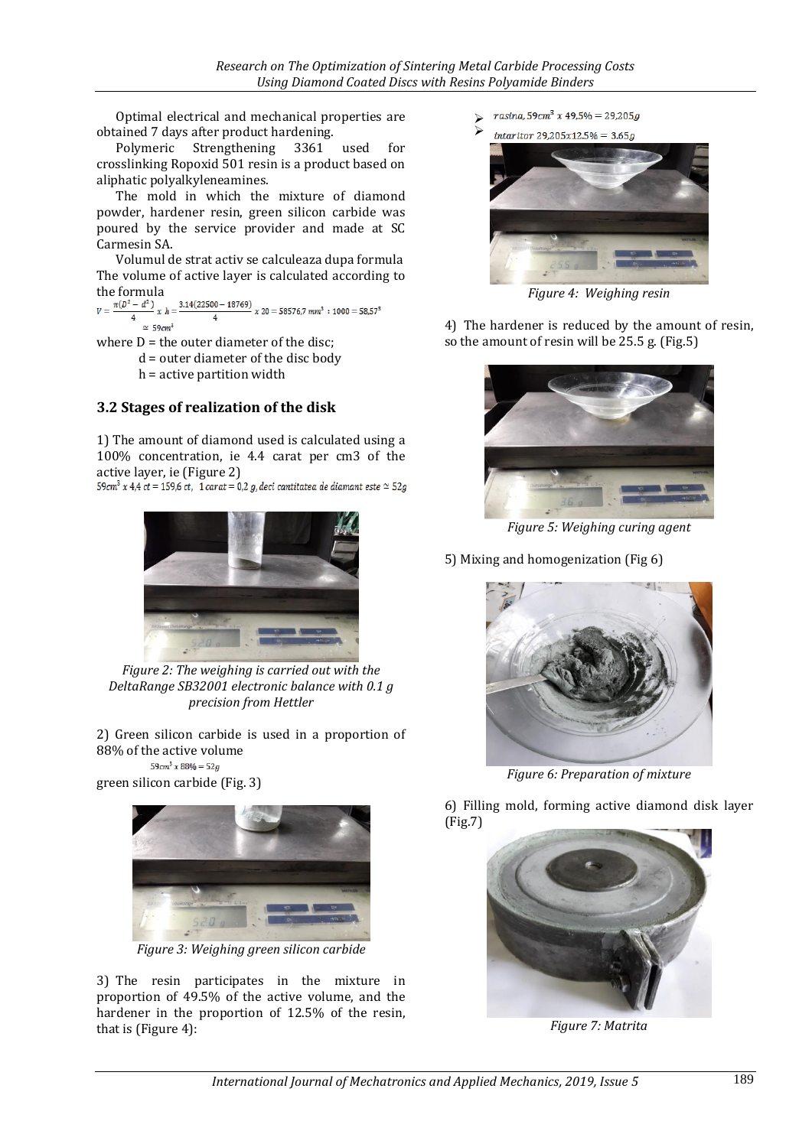Optimal electrical and mechanical properties are obtained 7 days after product hardening.

Polymeric Strengthening 3361 used for crosslinking Ropoxid 501 resin is a product based on aliphatic polyalkyleneamines.

The mold in which the mixture of diamond powder, hardener resin, green silicon carbide was poured by the service provider and made at SC Carmesin SA.

Volumul de strat activ se calculeaza dupa formula The volume of active layer is calculated according to the formula<br> $v = \frac{\pi(D^2 - d^2)}{2x}$   $x h = \frac{3.14(22500 - 18769)}{2x}$   $x 20 = 58576,7$  mm<sup>3</sup>:1000 = 58,57<sup>3</sup>

 $\simeq 59 \text{cm}^3$ 

where  $D =$  the outer diameter of the disc;

d = outer diameter of the disc body

h = active partition width

#### **3.2 Stages of realization of the disk**

1) The amount of diamond used is calculated using a 100% concentration, ie 4.4 carat per cm3 of the active layer, ie (Figure 2)<br> $59cm^3 x 4.4 ct = 159.6 ct$ , 1 carat = 0,2 g, deci cantitatea de diamant este  $\simeq 52g$ 



*Figure 2: The weighing is carried out with the DeltaRange SB32001 electronic balance with 0.1 g precision from Hettler*

2) Green silicon carbide is used in a proportion of 88% of the active volume

 $59cm^3 x 88\% = 52g$ green silicon carbide (Fig. 3)



*Figure 3: Weighing green silicon carbide*

3) The resin participates in the mixture in proportion of 49.5% of the active volume, and the hardener in the proportion of 12.5% of the resin, that is (Figure 4):

- rasina, 59cm<sup>3</sup> x 49,5% = 29,205g  $\blacktriangleright$
- $\blacktriangleright$  $intaritor 29.205x12.5% = 3.65a$



*Figure 4: Weighing resin*

4) The hardener is reduced by the amount of resin, so the amount of resin will be 25.5 g. (Fig.5)



*Figure 5: Weighing curing agent*

5) Mixing and homogenization (Fig 6)



*Figure 6: Preparation of mixture*

6) Filling mold, forming active diamond disk layer (Fig.7)



*Figure 7: Matrita*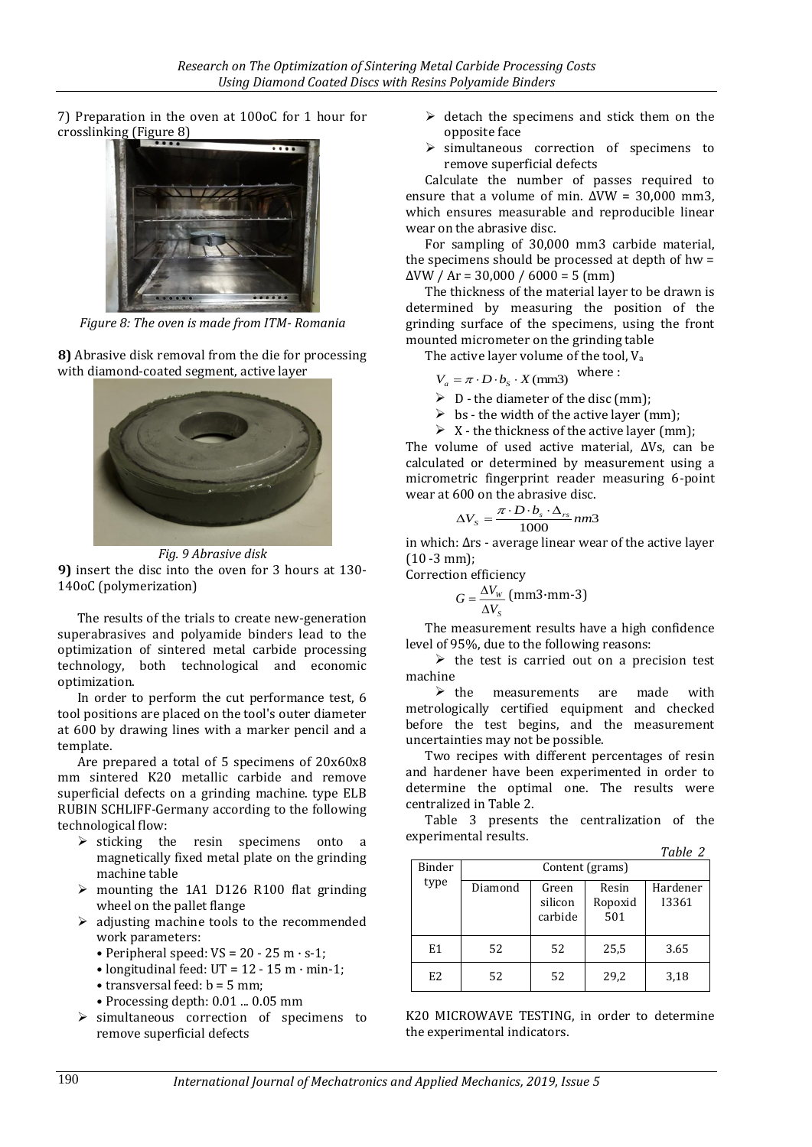7) Preparation in the oven at 100oC for 1 hour for crosslinking (Figure 8)



*Figure 8: The oven is made from ITM- Romania*

**8)** Abrasive disk removal from the die for processing with diamond-coated segment, active layer



*Fig. 9 Abrasive disk* **9)** insert the disc into the oven for 3 hours at 130- 140oC (polymerization)

The results of the trials to create new-generation superabrasives and polyamide binders lead to the optimization of sintered metal carbide processing technology, both technological and economic optimization.

In order to perform the cut performance test, 6 tool positions are placed on the tool's outer diameter at 600 by drawing lines with a marker pencil and a template.

Are prepared a total of 5 specimens of 20x60x8 mm sintered K20 metallic carbide and remove superficial defects on a grinding machine. type ELB RUBIN SCHLIFF-Germany according to the following technological flow:

- $\triangleright$  sticking the resin specimens onto a magnetically fixed metal plate on the grinding machine table
- $\triangleright$  mounting the 1A1 D126 R100 flat grinding wheel on the pallet flange
- $\triangleright$  adjusting machine tools to the recommended work parameters:
	- Peripheral speed:  $VS = 20 25$  m  $\cdot$  s-1;
	- longitudinal feed:  $UT = 12 15$  m · min-1;
	- transversal feed:  $b = 5$  mm;
	- Processing depth: 0.01 ... 0.05 mm
- $\triangleright$  simultaneous correction of specimens to remove superficial defects
- $\triangleright$  detach the specimens and stick them on the opposite face
- $\triangleright$  simultaneous correction of specimens to remove superficial defects

Calculate the number of passes required to ensure that a volume of min.  $\Delta$ VW = 30,000 mm3, which ensures measurable and reproducible linear wear on the abrasive disc.

For sampling of 30,000 mm3 carbide material, the specimens should be processed at depth of hw =  $\Delta$ VW / Ar = 30,000 / 6000 = 5 (mm)

The thickness of the material layer to be drawn is determined by measuring the position of the grinding surface of the specimens, using the front mounted micrometer on the grinding table

The active layer volume of the tool,  $V_a$ where :

$$
V_a = \pi \cdot D \cdot b_s \cdot X \, \text{(mm3)}
$$

- $\triangleright$  D the diameter of the disc (mm);
- $\triangleright$  bs the width of the active layer (mm);
- $\triangleright$  X the thickness of the active layer (mm);

The volume of used active material, ΔVs, can be calculated or determined by measurement using a micrometric fingerprint reader measuring 6-point wear at 600 on the abrasive disc.

$$
\Delta V_s = \frac{\pi \cdot D \cdot b_s \cdot \Delta_{rs}}{1000} \, nm3
$$

in which: Δrs - average linear wear of the active layer (10 -3 mm);

Correction efficiency

$$
G = \frac{\Delta V_w}{\Delta V_s} \text{ (mm3·mm-3)}
$$

The measurement results have a high confidence level of 95%, due to the following reasons:

 $\triangleright$  the test is carried out on a precision test machine

 $\triangleright$  the measurements are made with metrologically certified equipment and checked before the test begins, and the measurement uncertainties may not be possible.

Two recipes with different percentages of resin and hardener have been experimented in order to determine the optimal one. The results were centralized in Table 2.

Table 3 presents the centralization of the experimental results.

|--|

| Binder | Content (grams) |                             |                         |                   |  |
|--------|-----------------|-----------------------------|-------------------------|-------------------|--|
| type   | Diamond         | Green<br>silicon<br>carbide | Resin<br>Ropoxid<br>501 | Hardener<br>13361 |  |
| E1     | 52              | 52                          | 25,5                    | 3.65              |  |
| E2     | 52              | 52                          | 29,2                    | 3,18              |  |

K20 MICROWAVE TESTING, in order to determine the experimental indicators.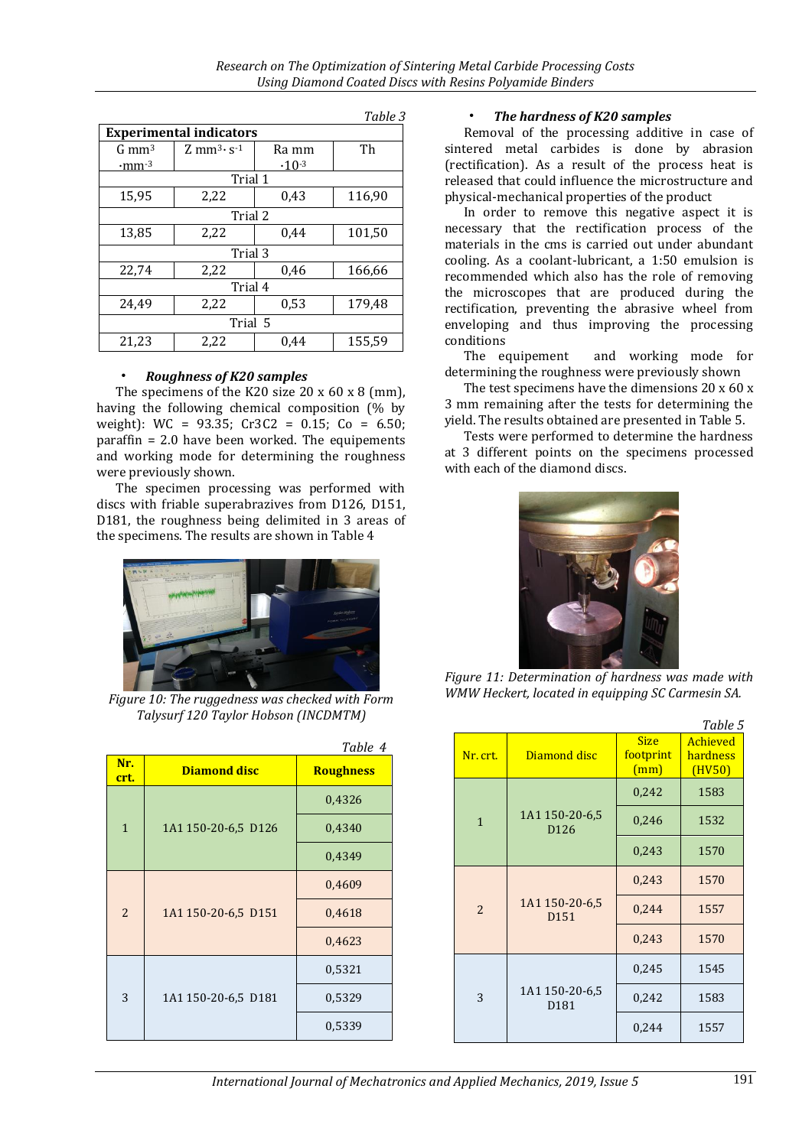| uwic J                          |                                             |            |        |  |  |
|---------------------------------|---------------------------------------------|------------|--------|--|--|
| <b>Experimental indicators</b>  |                                             |            |        |  |  |
| $G \, \text{mm}^3$              | $Z$ mm <sup>3</sup> $\cdot$ s <sup>-1</sup> | Ra mm      | Th     |  |  |
| $\cdot$ mm $\cdot$ <sup>3</sup> |                                             | $-10^{-3}$ |        |  |  |
|                                 | Trial 1                                     |            |        |  |  |
| 15,95                           | 2,22                                        | 0,43       | 116,90 |  |  |
|                                 | Trial 2                                     |            |        |  |  |
| 13,85                           | 2.22                                        | 0.44       | 101,50 |  |  |
| Trial 3                         |                                             |            |        |  |  |
| 22,74                           | 2,22                                        | 0.46       | 166,66 |  |  |
| Trial 4                         |                                             |            |        |  |  |
| 24,49                           | 2,22                                        | 0,53       | 179,48 |  |  |
| Trial 5                         |                                             |            |        |  |  |
| 21,23                           | 2,22                                        | 0.44       | 155,59 |  |  |

#### *Table 3*

#### • *Roughness of K20 samples*

The specimens of the K20 size 20 x 60 x 8 (mm), having the following chemical composition (% by weight):  $WC = 93.35$ ;  $Cr3C2 = 0.15$ ;  $Co = 6.50$ ; paraffin = 2.0 have been worked. The equipements and working mode for determining the roughness were previously shown.

The specimen processing was performed with discs with friable superabrazives from D126, D151, D181, the roughness being delimited in 3 areas of the specimens. The results are shown in Table 4



*Figure 10: The ruggedness was checked with Form Talysurf 120 Taylor Hobson (INCDMTM)*

|                |                     | Table 4          |
|----------------|---------------------|------------------|
| Nr.<br>crt.    | <b>Diamond disc</b> | <b>Roughness</b> |
|                | 1A1 150-20-6,5 D126 | 0,4326           |
| $\mathbf{1}$   |                     | 0,4340           |
|                |                     | 0,4349           |
| $\overline{2}$ | 1A1 150-20-6,5 D151 | 0,4609           |
|                |                     | 0,4618           |
|                |                     | 0,4623           |
| 3              | 1A1 150-20-6,5 D181 | 0,5321           |
|                |                     | 0,5329           |
|                |                     | 0,5339           |

#### • *The hardness of K20 samples*

Removal of the processing additive in case of sintered metal carbides is done by abrasion (rectification). As a result of the process heat is released that could influence the microstructure and physical-mechanical properties of the product

In order to remove this negative aspect it is necessary that the rectification process of the materials in the cms is carried out under abundant cooling. As a coolant-lubricant, a 1:50 emulsion is recommended which also has the role of removing the microscopes that are produced during the rectification, preventing the abrasive wheel from enveloping and thus improving the processing conditions

The equipement and working mode for determining the roughness were previously shown

The test specimens have the dimensions 20 x 60 x 3 mm remaining after the tests for determining the yield. The results obtained are presented in Table 5.

Tests were performed to determine the hardness at 3 different points on the specimens processed with each of the diamond discs.



*Figure 11: Determination of hardness was made with WMW Heckert, located in equipping SC Carmesin SA.*

|                |                                    |                                  | Table 5                        |
|----------------|------------------------------------|----------------------------------|--------------------------------|
| Nr. crt.       | Diamond disc                       | <b>Size</b><br>footprint<br>(mm) | Achieved<br>hardness<br>(HV50) |
|                |                                    | 0,242                            | 1583                           |
| $\mathbf{1}$   | 1A1 150-20-6,5<br>D126             | 0,246                            | 1532                           |
|                |                                    | 0,243                            | 1570                           |
| $\overline{2}$ | 1A1 150-20-6,5<br>D <sub>151</sub> | 0,243                            | 1570                           |
|                |                                    | 0,244                            | 1557                           |
|                |                                    | 0,243                            | 1570                           |
|                | 1A1 150-20-6,5<br>D <sub>181</sub> | 0,245                            | 1545                           |
| 3              |                                    | 0,242                            | 1583                           |
|                |                                    | 0,244                            | 1557                           |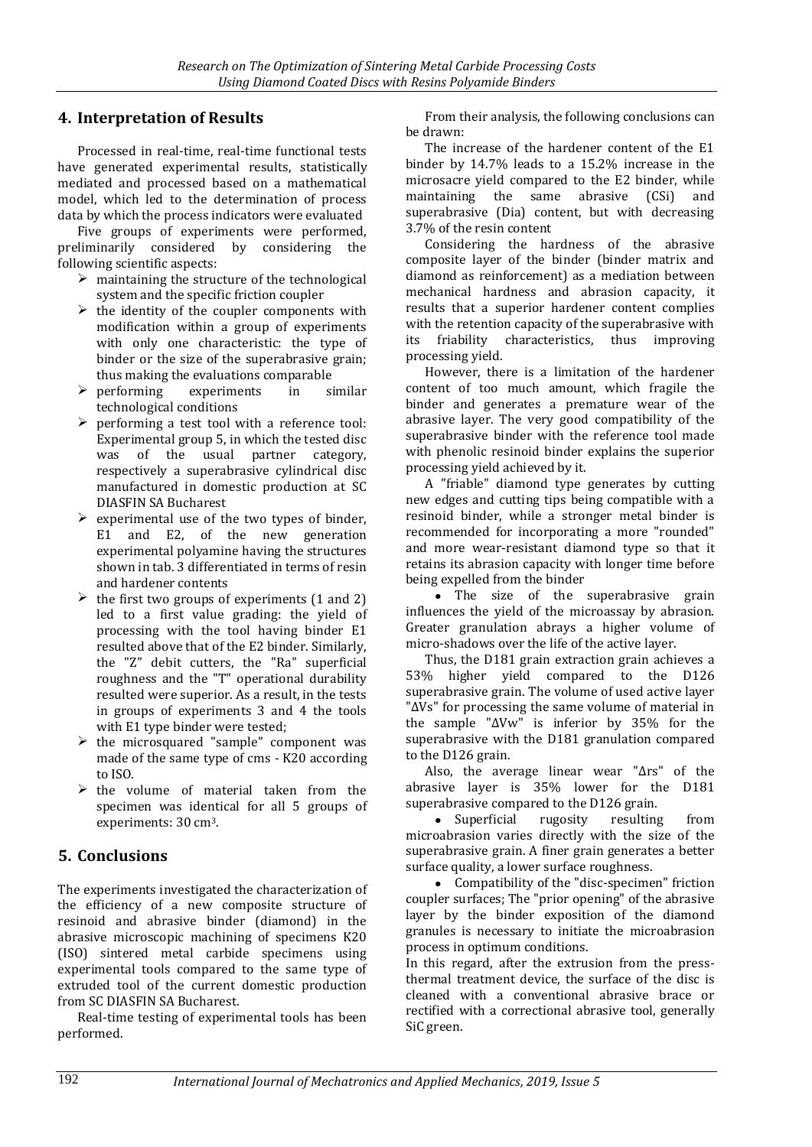# **4. Interpretation of Results**

Processed in real-time, real-time functional tests have generated experimental results, statistically mediated and processed based on a mathematical model, which led to the determination of process data by which the process indicators were evaluated

Five groups of experiments were performed, preliminarily considered by considering the following scientific aspects:

- $\triangleright$  maintaining the structure of the technological system and the specific friction coupler
- $\triangleright$  the identity of the coupler components with modification within a group of experiments with only one characteristic: the type of binder or the size of the superabrasive grain; thus making the evaluations comparable
- $\triangleright$  performing experiments in similar technological conditions
- $\triangleright$  performing a test tool with a reference tool: Experimental group 5, in which the tested disc was of the usual partner category, respectively a superabrasive cylindrical disc manufactured in domestic production at SC DIASFIN SA Bucharest
- $\triangleright$  experimental use of the two types of binder. E1 and E2, of the new generation experimental polyamine having the structures shown in tab. 3 differentiated in terms of resin and hardener contents
- $\triangleright$  the first two groups of experiments (1 and 2) led to a first value grading: the yield of processing with the tool having binder E1 resulted above that of the E2 binder. Similarly, the "Z" debit cutters, the "Ra" superficial roughness and the "T" operational durability resulted were superior. As a result, in the tests in groups of experiments 3 and 4 the tools with E1 type binder were tested;
- $\triangleright$  the microsquared "sample" component was made of the same type of cms - K20 according to ISO.
- $\triangleright$  the volume of material taken from the specimen was identical for all 5 groups of experiments: 30 cm3.

# **5. Conclusions**

The experiments investigated the characterization of the efficiency of a new composite structure of resinoid and abrasive binder (diamond) in the abrasive microscopic machining of specimens K20 (ISO) sintered metal carbide specimens using experimental tools compared to the same type of extruded tool of the current domestic production from SC DIASFIN SA Bucharest.

Real-time testing of experimental tools has been performed.

From their analysis, the following conclusions can be drawn:

The increase of the hardener content of the E1 binder by 14.7% leads to a 15.2% increase in the microsacre yield compared to the E2 binder, while maintaining the same abrasive (CSi) and superabrasive (Dia) content, but with decreasing 3.7% of the resin content

Considering the hardness of the abrasive composite layer of the binder (binder matrix and diamond as reinforcement) as a mediation between mechanical hardness and abrasion capacity, it results that a superior hardener content complies with the retention capacity of the superabrasive with its friability characteristics, thus improving processing yield.

However, there is a limitation of the hardener content of too much amount, which fragile the binder and generates a premature wear of the abrasive layer. The very good compatibility of the superabrasive binder with the reference tool made with phenolic resinoid binder explains the superior processing yield achieved by it.

A "friable" diamond type generates by cutting new edges and cutting tips being compatible with a resinoid binder, while a stronger metal binder is recommended for incorporating a more "rounded" and more wear-resistant diamond type so that it retains its abrasion capacity with longer time before being expelled from the binder

• The size of the superabrasive grain influences the yield of the microassay by abrasion. Greater granulation abrays a higher volume of micro-shadows over the life of the active layer.

Thus, the D181 grain extraction grain achieves a 53% higher yield compared to the D126 superabrasive grain. The volume of used active layer "ΔVs" for processing the same volume of material in the sample "ΔVw" is inferior by 35% for the superabrasive with the D181 granulation compared to the D126 grain.

Also, the average linear wear "Δrs" of the abrasive layer is 35% lower for the D181 superabrasive compared to the D126 grain.

 Superficial rugosity resulting from microabrasion varies directly with the size of the superabrasive grain. A finer grain generates a better surface quality, a lower surface roughness.

 Compatibility of the "disc-specimen" friction coupler surfaces; The "prior opening" of the abrasive layer by the binder exposition of the diamond granules is necessary to initiate the microabrasion process in optimum conditions.

In this regard, after the extrusion from the pressthermal treatment device, the surface of the disc is cleaned with a conventional abrasive brace or rectified with a correctional abrasive tool, generally SiC green.